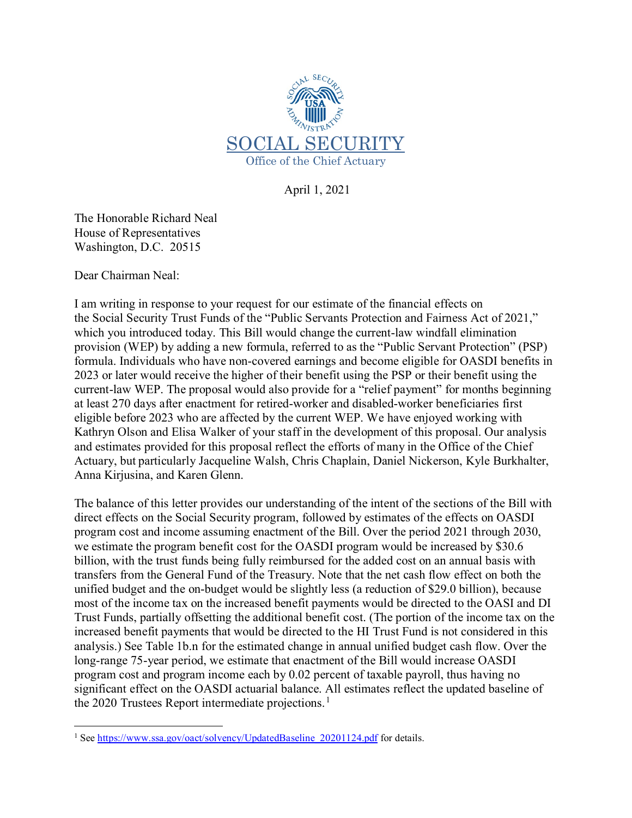

April 1, 2021

The Honorable Richard Neal House of Representatives Washington, D.C. 20515

Dear Chairman Neal:

I am writing in response to your request for our estimate of the financial effects on the Social Security Trust Funds of the "Public Servants Protection and Fairness Act of 2021," which you introduced today. This Bill would change the current-law windfall elimination provision (WEP) by adding a new formula, referred to as the "Public Servant Protection" (PSP) formula. Individuals who have non-covered earnings and become eligible for OASDI benefits in 2023 or later would receive the higher of their benefit using the PSP or their benefit using the current-law WEP. The proposal would also provide for a "relief payment" for months beginning at least 270 days after enactment for retired-worker and disabled-worker beneficiaries first eligible before 2023 who are affected by the current WEP. We have enjoyed working with Kathryn Olson and Elisa Walker of your staff in the development of this proposal. Our analysis and estimates provided for this proposal reflect the efforts of many in the Office of the Chief Actuary, but particularly Jacqueline Walsh, Chris Chaplain, Daniel Nickerson, Kyle Burkhalter, Anna Kirjusina, and Karen Glenn.

The balance of this letter provides our understanding of the intent of the sections of the Bill with direct effects on the Social Security program, followed by estimates of the effects on OASDI program cost and income assuming enactment of the Bill. Over the period 2021 through 2030, we estimate the program benefit cost for the OASDI program would be increased by \$30.6 billion, with the trust funds being fully reimbursed for the added cost on an annual basis with transfers from the General Fund of the Treasury. Note that the net cash flow effect on both the unified budget and the on-budget would be slightly less (a reduction of \$29.0 billion), because most of the income tax on the increased benefit payments would be directed to the OASI and DI Trust Funds, partially offsetting the additional benefit cost. (The portion of the income tax on the increased benefit payments that would be directed to the HI Trust Fund is not considered in this analysis.) See Table 1b.n for the estimated change in annual unified budget cash flow. Over the long-range 75-year period, we estimate that enactment of the Bill would increase OASDI program cost and program income each by 0.02 percent of taxable payroll, thus having no significant effect on the OASDI actuarial balance. All estimates reflect the updated baseline of the 2020 Trustees Report intermediate projections.<sup>[1](#page-0-0)</sup>

<span id="page-0-0"></span>l <sup>1</sup> See [https://www.ssa.gov/oact/solvency/UpdatedBaseline\\_20201124.pdf](https://www.ssa.gov/oact/solvency/UpdatedBaseline_20201124.pdf) for details.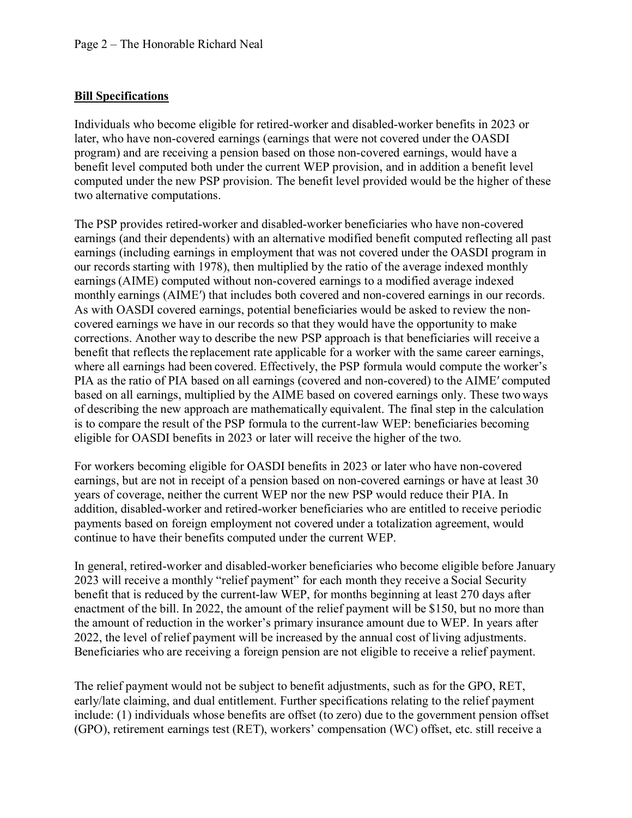### **Bill Specifications**

Individuals who become eligible for retired-worker and disabled-worker benefits in 2023 or later, who have non-covered earnings (earnings that were not covered under the OASDI program) and are receiving a pension based on those non-covered earnings, would have a benefit level computed both under the current WEP provision, and in addition a benefit level computed under the new PSP provision. The benefit level provided would be the higher of these two alternative computations.

The PSP provides retired-worker and disabled-worker beneficiaries who have non-covered earnings (and their dependents) with an alternative modified benefit computed reflecting all past earnings (including earnings in employment that was not covered under the OASDI program in our records starting with 1978), then multiplied by the ratio of the average indexed monthly earnings(AIME) computed without non-covered earnings to a modified average indexed monthly earnings (AIME′) that includes both covered and non-covered earnings in our records. As with OASDI covered earnings, potential beneficiaries would be asked to review the noncovered earnings we have in our records so that they would have the opportunity to make corrections. Another way to describe the new PSP approach is that beneficiaries will receive a benefit that reflects the replacement rate applicable for a worker with the same career earnings, where all earnings had been covered. Effectively, the PSP formula would compute the worker's PIA as the ratio of PIA based on all earnings (covered and non-covered) to the AIME′ computed based on all earnings, multiplied by the AIME based on covered earnings only. These two ways of describing the new approach are mathematically equivalent. The final step in the calculation is to compare the result of the PSP formula to the current-law WEP: beneficiaries becoming eligible for OASDI benefits in 2023 or later will receive the higher of the two.

For workers becoming eligible for OASDI benefits in 2023 or later who have non-covered earnings, but are not in receipt of a pension based on non-covered earnings or have at least 30 years of coverage, neither the current WEP nor the new PSP would reduce their PIA. In addition, disabled-worker and retired-worker beneficiaries who are entitled to receive periodic payments based on foreign employment not covered under a totalization agreement, would continue to have their benefits computed under the current WEP.

In general, retired-worker and disabled-worker beneficiaries who become eligible before January 2023 will receive a monthly "relief payment" for each month they receive a Social Security benefit that is reduced by the current-law WEP, for months beginning at least 270 days after enactment of the bill. In 2022, the amount of the relief payment will be \$150, but no more than the amount of reduction in the worker's primary insurance amount due to WEP. In years after 2022, the level of relief payment will be increased by the annual cost of living adjustments. Beneficiaries who are receiving a foreign pension are not eligible to receive a relief payment.

The relief payment would not be subject to benefit adjustments, such as for the GPO, RET, early/late claiming, and dual entitlement. Further specifications relating to the relief payment include: (1) individuals whose benefits are offset (to zero) due to the government pension offset (GPO), retirement earnings test (RET), workers' compensation (WC) offset, etc. still receive a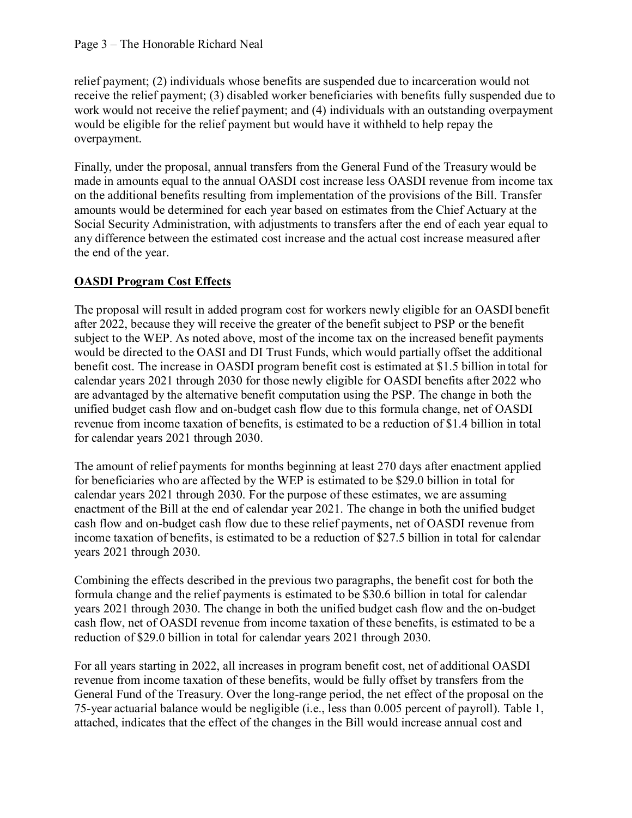relief payment; (2) individuals whose benefits are suspended due to incarceration would not receive the relief payment; (3) disabled worker beneficiaries with benefits fully suspended due to work would not receive the relief payment; and (4) individuals with an outstanding overpayment would be eligible for the relief payment but would have it withheld to help repay the overpayment.

Finally, under the proposal, annual transfers from the General Fund of the Treasury would be made in amounts equal to the annual OASDI cost increase less OASDI revenue from income tax on the additional benefits resulting from implementation of the provisions of the Bill. Transfer amounts would be determined for each year based on estimates from the Chief Actuary at the Social Security Administration, with adjustments to transfers after the end of each year equal to any difference between the estimated cost increase and the actual cost increase measured after the end of the year.

## **OASDI Program Cost Effects**

The proposal will result in added program cost for workers newly eligible for an OASDI benefit after 2022, because they will receive the greater of the benefit subject to PSP or the benefit subject to the WEP. As noted above, most of the income tax on the increased benefit payments would be directed to the OASI and DI Trust Funds, which would partially offset the additional benefit cost. The increase in OASDI program benefit cost is estimated at \$1.5 billion in total for calendar years 2021 through 2030 for those newly eligible for OASDI benefits after 2022 who are advantaged by the alternative benefit computation using the PSP. The change in both the unified budget cash flow and on-budget cash flow due to this formula change, net of OASDI revenue from income taxation of benefits, is estimated to be a reduction of \$1.4 billion in total for calendar years 2021 through 2030.

The amount of relief payments for months beginning at least 270 days after enactment applied for beneficiaries who are affected by the WEP is estimated to be \$29.0 billion in total for calendar years 2021 through 2030. For the purpose of these estimates, we are assuming enactment of the Bill at the end of calendar year 2021. The change in both the unified budget cash flow and on-budget cash flow due to these relief payments, net of OASDI revenue from income taxation of benefits, is estimated to be a reduction of \$27.5 billion in total for calendar years 2021 through 2030.

Combining the effects described in the previous two paragraphs, the benefit cost for both the formula change and the relief payments is estimated to be \$30.6 billion in total for calendar years 2021 through 2030. The change in both the unified budget cash flow and the on-budget cash flow, net of OASDI revenue from income taxation of these benefits, is estimated to be a reduction of \$29.0 billion in total for calendar years 2021 through 2030.

For all years starting in 2022, all increases in program benefit cost, net of additional OASDI revenue from income taxation of these benefits, would be fully offset by transfers from the General Fund of the Treasury. Over the long-range period, the net effect of the proposal on the 75-year actuarial balance would be negligible (i.e., less than 0.005 percent of payroll). Table 1, attached, indicates that the effect of the changes in the Bill would increase annual cost and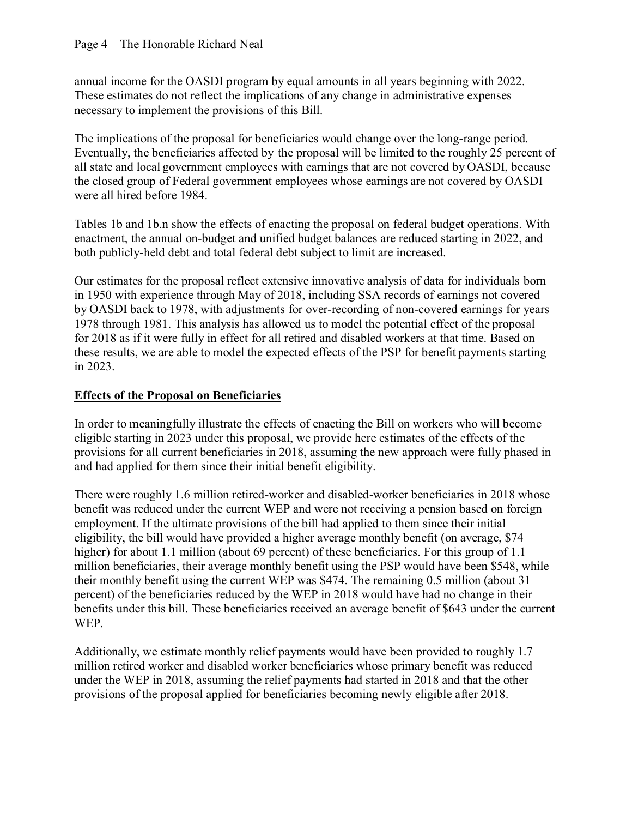annual income for the OASDI program by equal amounts in all years beginning with 2022. These estimates do not reflect the implications of any change in administrative expenses necessary to implement the provisions of this Bill.

The implications of the proposal for beneficiaries would change over the long-range period. Eventually, the beneficiaries affected by the proposal will be limited to the roughly 25 percent of all state and local government employees with earnings that are not covered by OASDI, because the closed group of Federal government employees whose earnings are not covered by OASDI were all hired before 1984.

Tables 1b and 1b.n show the effects of enacting the proposal on federal budget operations. With enactment, the annual on-budget and unified budget balances are reduced starting in 2022, and both publicly-held debt and total federal debt subject to limit are increased.

Our estimates for the proposal reflect extensive innovative analysis of data for individuals born in 1950 with experience through May of 2018, including SSA records of earnings not covered by OASDI back to 1978, with adjustments for over-recording of non-covered earnings for years 1978 through 1981. This analysis has allowed us to model the potential effect of the proposal for 2018 as if it were fully in effect for all retired and disabled workers at that time. Based on these results, we are able to model the expected effects of the PSP for benefit payments starting in 2023.

## **Effects of the Proposal on Beneficiaries**

In order to meaningfully illustrate the effects of enacting the Bill on workers who will become eligible starting in 2023 under this proposal, we provide here estimates of the effects of the provisions for all current beneficiaries in 2018, assuming the new approach were fully phased in and had applied for them since their initial benefit eligibility.

There were roughly 1.6 million retired-worker and disabled-worker beneficiaries in 2018 whose benefit was reduced under the current WEP and were not receiving a pension based on foreign employment. If the ultimate provisions of the bill had applied to them since their initial eligibility, the bill would have provided a higher average monthly benefit (on average, \$74 higher) for about 1.1 million (about 69 percent) of these beneficiaries. For this group of 1.1 million beneficiaries, their average monthly benefit using the PSP would have been \$548, while their monthly benefit using the current WEP was \$474. The remaining 0.5 million (about 31 percent) of the beneficiaries reduced by the WEP in 2018 would have had no change in their benefits under this bill. These beneficiaries received an average benefit of \$643 under the current WEP.

Additionally, we estimate monthly relief payments would have been provided to roughly 1.7 million retired worker and disabled worker beneficiaries whose primary benefit was reduced under the WEP in 2018, assuming the relief payments had started in 2018 and that the other provisions of the proposal applied for beneficiaries becoming newly eligible after 2018.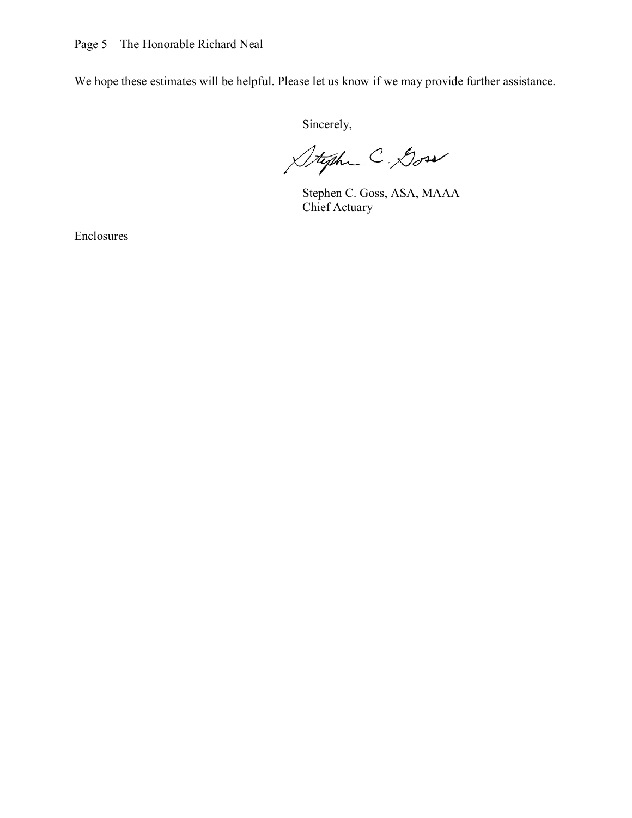We hope these estimates will be helpful. Please let us know if we may provide further assistance.

Sincerely,

Stephe C. Doss

Stephen C. Goss, ASA, MAAA Chief Actuary

Enclosures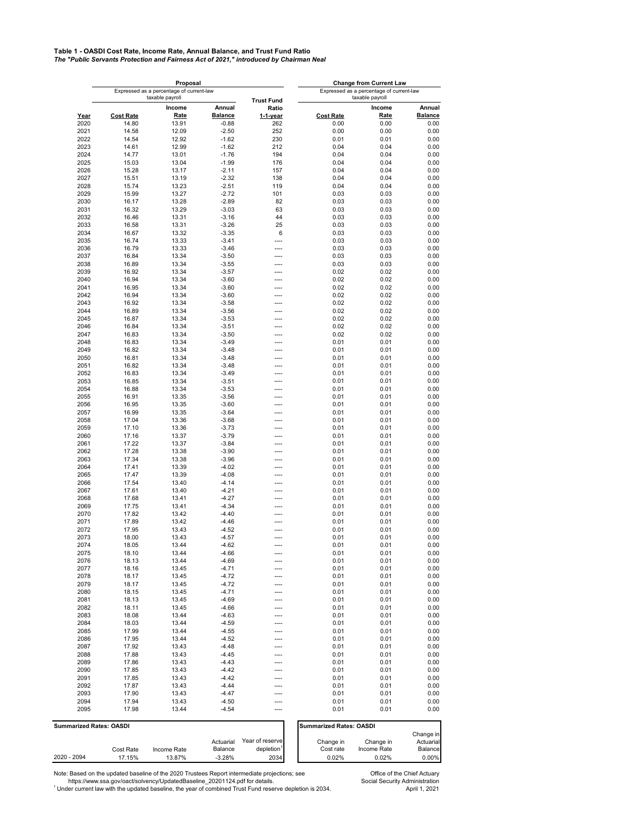# **Table 1 - OASDI Cost Rate, Income Rate, Annual Balance, and Trust Fund Ratio** *The "Public Servants Protection and Fairness Act of 2021," introduced by Chairman Neal*

|              |                         | Proposal                                                    |                    |                                          |                                | <b>Change from Current Law</b> |                        |  |  |
|--------------|-------------------------|-------------------------------------------------------------|--------------------|------------------------------------------|--------------------------------|--------------------------------|------------------------|--|--|
|              |                         | Expressed as a percentage of current-law<br>taxable payroll |                    | Expressed as a percentage of current-law |                                | taxable payroll                |                        |  |  |
|              |                         | Income                                                      | Annual             | <b>Trust Fund</b><br>Ratio               |                                | Income                         | Annual                 |  |  |
| Year         | <b>Cost Rate</b>        | <b>Rate</b>                                                 | <b>Balance</b>     | $1-1$ -year                              | <b>Cost Rate</b>               | <b>Rate</b>                    | <b>Balance</b>         |  |  |
| 2020         | 14.80                   | 13.91                                                       | $-0.88$            | 262                                      | 0.00                           | 0.00                           | 0.00                   |  |  |
| 2021         | 14.58                   | 12.09                                                       | $-2.50$            | 252                                      | 0.00                           | 0.00                           | 0.00                   |  |  |
| 2022         | 14.54                   | 12.92                                                       | $-1.62$            | 230                                      | 0.01                           | 0.01                           | 0.00                   |  |  |
| 2023         | 14.61                   | 12.99                                                       | $-1.62$            | 212<br>194                               | 0.04                           | 0.04<br>0.04                   | 0.00                   |  |  |
| 2024<br>2025 | 14.77<br>15.03          | 13.01<br>13.04                                              | $-1.76$<br>$-1.99$ | 176                                      | 0.04<br>0.04                   | 0.04                           | 0.00<br>0.00           |  |  |
| 2026         | 15.28                   | 13.17                                                       | $-2.11$            | 157                                      | 0.04                           | 0.04                           | 0.00                   |  |  |
| 2027         | 15.51                   | 13.19                                                       | $-2.32$            | 138                                      | 0.04                           | 0.04                           | 0.00                   |  |  |
| 2028         | 15.74                   | 13.23                                                       | $-2.51$            | 119                                      | 0.04                           | 0.04                           | 0.00                   |  |  |
| 2029         | 15.99                   | 13.27                                                       | $-2.72$            | 101                                      | 0.03                           | 0.03                           | 0.00                   |  |  |
| 2030         | 16.17                   | 13.28                                                       | $-2.89$            | 82                                       | 0.03                           | 0.03                           | 0.00                   |  |  |
| 2031         | 16.32                   | 13.29                                                       | $-3.03$            | 63                                       | 0.03                           | 0.03                           | 0.00                   |  |  |
| 2032<br>2033 | 16.46<br>16.58          | 13.31<br>13.31                                              | $-3.16$<br>$-3.26$ | 44<br>25                                 | 0.03<br>0.03                   | 0.03<br>0.03                   | 0.00                   |  |  |
| 2034         | 16.67                   | 13.32                                                       | $-3.35$            | 6                                        | 0.03                           | 0.03                           | 0.00<br>0.00           |  |  |
| 2035         | 16.74                   | 13.33                                                       | $-3.41$            | ----                                     | 0.03                           | 0.03                           | 0.00                   |  |  |
| 2036         | 16.79                   | 13.33                                                       | $-3.46$            | $---$                                    | 0.03                           | 0.03                           | 0.00                   |  |  |
| 2037         | 16.84                   | 13.34                                                       | $-3.50$            | ----                                     | 0.03                           | 0.03                           | 0.00                   |  |  |
| 2038         | 16.89                   | 13.34                                                       | $-3.55$            | ----                                     | 0.03                           | 0.03                           | 0.00                   |  |  |
| 2039         | 16.92                   | 13.34                                                       | $-3.57$            | ----                                     | 0.02                           | 0.02                           | 0.00                   |  |  |
| 2040         | 16.94                   | 13.34                                                       | $-3.60$            | ----                                     | 0.02                           | 0.02                           | 0.00                   |  |  |
| 2041         | 16.95                   | 13.34                                                       | $-3.60$            | ----<br>----                             | 0.02                           | 0.02                           | 0.00<br>0.00           |  |  |
| 2042<br>2043 | 16.94<br>16.92          | 13.34<br>13.34                                              | $-3.60$<br>$-3.58$ | ----                                     | 0.02<br>0.02                   | 0.02<br>0.02                   | 0.00                   |  |  |
| 2044         | 16.89                   | 13.34                                                       | $-3.56$            | $---$                                    | 0.02                           | 0.02                           | 0.00                   |  |  |
| 2045         | 16.87                   | 13.34                                                       | $-3.53$            | $---$                                    | 0.02                           | 0.02                           | 0.00                   |  |  |
| 2046         | 16.84                   | 13.34                                                       | $-3.51$            | ----                                     | 0.02                           | 0.02                           | 0.00                   |  |  |
| 2047         | 16.83                   | 13.34                                                       | $-3.50$            | ----                                     | 0.02                           | 0.02                           | 0.00                   |  |  |
| 2048         | 16.83                   | 13.34                                                       | $-3.49$            | ----                                     | 0.01                           | 0.01                           | 0.00                   |  |  |
| 2049         | 16.82                   | 13.34                                                       | $-3.48$            |                                          | 0.01                           | 0.01                           | 0.00                   |  |  |
| 2050         | 16.81<br>16.82          | 13.34                                                       | $-3.48$            | ----                                     | 0.01                           | 0.01                           | 0.00                   |  |  |
| 2051<br>2052 | 16.83                   | 13.34<br>13.34                                              | $-3.48$<br>$-3.49$ | ----<br>----                             | 0.01<br>0.01                   | 0.01<br>0.01                   | 0.00<br>0.00           |  |  |
| 2053         | 16.85                   | 13.34                                                       | $-3.51$            |                                          | 0.01                           | 0.01                           | 0.00                   |  |  |
| 2054         | 16.88                   | 13.34                                                       | $-3.53$            | ---                                      | 0.01                           | 0.01                           | 0.00                   |  |  |
| 2055         | 16.91                   | 13.35                                                       | $-3.56$            | ----                                     | 0.01                           | 0.01                           | 0.00                   |  |  |
| 2056         | 16.95                   | 13.35                                                       | $-3.60$            | ----                                     | 0.01                           | 0.01                           | 0.00                   |  |  |
| 2057         | 16.99                   | 13.35                                                       | $-3.64$            | ----                                     | 0.01                           | 0.01                           | 0.00                   |  |  |
| 2058         | 17.04                   | 13.36                                                       | $-3.68$            | ----                                     | 0.01                           | 0.01                           | 0.00                   |  |  |
| 2059         | 17.10                   | 13.36                                                       | $-3.73$            | $---$                                    | 0.01                           | 0.01                           | 0.00                   |  |  |
| 2060<br>2061 | 17.16<br>17.22          | 13.37<br>13.37                                              | $-3.79$<br>$-3.84$ | ----<br>----                             | 0.01<br>0.01                   | 0.01<br>0.01                   | 0.00<br>0.00           |  |  |
| 2062         | 17.28                   | 13.38                                                       | $-3.90$            | ----                                     | 0.01                           | 0.01                           | 0.00                   |  |  |
| 2063         | 17.34                   | 13.38                                                       | $-3.96$            | ----                                     | 0.01                           | 0.01                           | 0.00                   |  |  |
| 2064         | 17.41                   | 13.39                                                       | $-4.02$            | ----                                     | 0.01                           | 0.01                           | 0.00                   |  |  |
| 2065         | 17.47                   | 13.39                                                       | $-4.08$            | ----                                     | 0.01                           | 0.01                           | 0.00                   |  |  |
| 2066         | 17.54                   | 13.40                                                       | $-4.14$            | ----                                     | 0.01                           | 0.01                           | 0.00                   |  |  |
| 2067         | 17.61                   | 13.40                                                       | $-4.21$            | $---$                                    | 0.01                           | 0.01                           | 0.00                   |  |  |
| 2068         | 17.68                   | 13.41                                                       | $-4.27$            | $---$<br>----                            | 0.01                           | 0.01                           | 0.00                   |  |  |
| 2069<br>2070 | 17.75<br>17.82          | 13.41<br>13.42                                              | $-4.34$<br>$-4.40$ |                                          | 0.01<br>0.01                   | 0.01<br>0.01                   | 0.00<br>0.00           |  |  |
| 2071         | 17.89                   | 13.42                                                       | $-4.46$            |                                          | 0.01                           | 0.01                           | 0.00                   |  |  |
| 2072         | 17.95                   | 13.43                                                       | $-4.52$            |                                          | 0.01                           | 0.01                           | 0.00                   |  |  |
| 2073         | 18.00                   | 13.43                                                       | $-4.57$            |                                          | 0.01                           | 0.01                           | 0.00                   |  |  |
| 2074         | 18.05                   | 13.44                                                       | -4.62              |                                          | 0.01                           | 0.01                           | 0.00                   |  |  |
| 2075         | 18.10                   | 13.44                                                       | -4.66              | ----                                     | 0.01                           | 0.01                           | 0.00                   |  |  |
| 2076         | 18.13                   | 13.44                                                       | $-4.69$            |                                          | 0.01                           | 0.01                           | 0.00                   |  |  |
| 2077         | 18.16                   | 13.45                                                       | $-4.71$            | ---                                      | 0.01                           | 0.01                           | 0.00                   |  |  |
| 2078         | 18.17                   | 13.45                                                       | $-4.72$            | ----                                     | 0.01                           | 0.01                           | 0.00                   |  |  |
| 2079<br>2080 | 18.17<br>18.15          | 13.45<br>13.45                                              | $-4.72$<br>-4.71   | ----<br>----                             | 0.01<br>0.01                   | 0.01<br>0.01                   | 0.00<br>0.00           |  |  |
| 2081         | 18.13                   | 13.45                                                       | $-4.69$            | ----                                     | 0.01                           | 0.01                           | 0.00                   |  |  |
| 2082         | 18.11                   | 13.45                                                       | -4.66              | ----                                     | 0.01                           | 0.01                           | 0.00                   |  |  |
| 2083         | 18.08                   | 13.44                                                       | $-4.63$            | ----                                     | 0.01                           | 0.01                           | 0.00                   |  |  |
| 2084         | 18.03                   | 13.44                                                       | $-4.59$            | ----                                     | 0.01                           | 0.01                           | 0.00                   |  |  |
| 2085         | 17.99                   | 13.44                                                       | $-4.55$            | ----                                     | 0.01                           | 0.01                           | 0.00                   |  |  |
| 2086         | 17.95                   | 13.44                                                       | $-4.52$            | ----                                     | 0.01                           | 0.01                           | 0.00                   |  |  |
| 2087         | 17.92                   | 13.43                                                       | $-4.48$            | ----                                     | 0.01                           | 0.01                           | 0.00                   |  |  |
| 2088<br>2089 | 17.88<br>17.86          | 13.43<br>13.43                                              | $-4.45$<br>$-4.43$ | ----<br>----                             | 0.01<br>0.01                   | 0.01<br>0.01                   | 0.00<br>0.00           |  |  |
| 2090         | 17.85                   | 13.43                                                       | $-4.42$            | ----                                     | 0.01                           | 0.01                           | 0.00                   |  |  |
| 2091         | 17.85                   | 13.43                                                       | $-4.42$            | ----                                     | 0.01                           | 0.01                           | 0.00                   |  |  |
| 2092         | 17.87                   | 13.43                                                       | $-4.44$            |                                          | 0.01                           | 0.01                           | 0.00                   |  |  |
| 2093         | 17.90                   | 13.43                                                       | $-4.47$            | ----                                     | 0.01                           | 0.01                           | 0.00                   |  |  |
| 2094         | 17.94                   | 13.43                                                       | $-4.50$            | ----                                     | 0.01                           | 0.01                           | 0.00                   |  |  |
| 2095         | 17.98                   | 13.44                                                       | $-4.54$            | ----                                     | 0.01                           | 0.01                           | 0.00                   |  |  |
|              |                         |                                                             |                    |                                          |                                |                                |                        |  |  |
|              | Summarized Rates: OASDI |                                                             |                    |                                          | <b>Summarized Rates: OASDI</b> |                                |                        |  |  |
|              |                         |                                                             | Actuarial          | Year of reserve                          | Change in                      | Change in                      | Change in<br>Actuarial |  |  |
|              | Cost Rate               | Income Rate                                                 | Balance            | depletion <sup>1</sup>                   | Cost rate                      | Income Rate                    | Balance                |  |  |
| 2020 - 2094  | 17.15%                  | 13.87%                                                      | $-3.28%$           | 2034                                     | 0.02%                          | 0.02%                          | 0.00%                  |  |  |

Note: Based on the updated baseline of the 2020 Trustees Report intermediate projections; see Office of the Chief Actuary<br>https://www.ssa.gov/oact/solvency/UpdatedBaseline\_20201124.pdf for details.<br>Under cur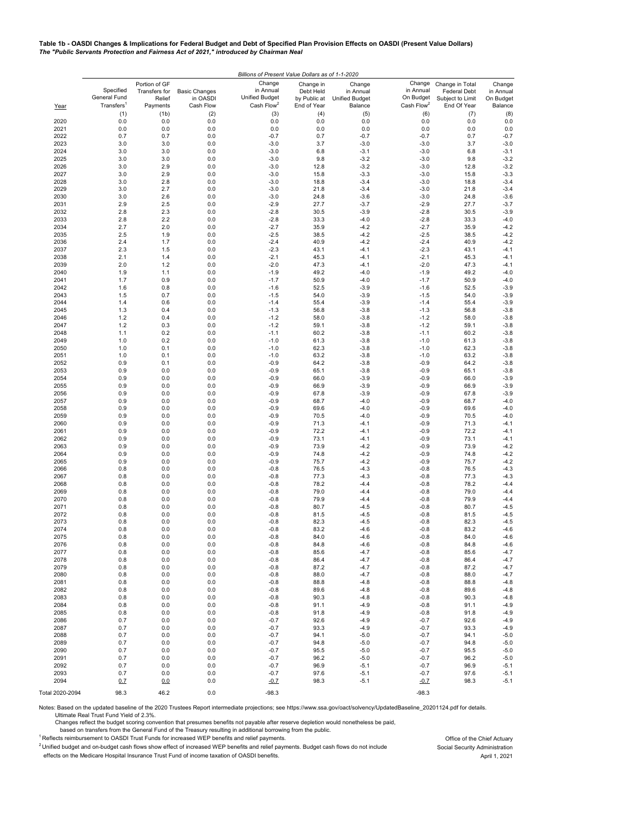#### **Table 1b - OASDI Changes & Implications for Federal Budget and Debt of Specified Plan Provision Effects on OASDI (Present Value Dollars)** *The "Public Servants Protection and Fairness Act of 2021," introduced by Chairman Neal*

|                 | Billions of Present Value Dollars as of 1-1-2020    |                                                      |                                               |                                                                        |                                                       |                                                         |                                                            |                                                                           |                                             |  |
|-----------------|-----------------------------------------------------|------------------------------------------------------|-----------------------------------------------|------------------------------------------------------------------------|-------------------------------------------------------|---------------------------------------------------------|------------------------------------------------------------|---------------------------------------------------------------------------|---------------------------------------------|--|
|                 | Specified<br>General Fund<br>Transfers <sup>1</sup> | Portion of GF<br>Transfers for<br>Relief<br>Payments | <b>Basic Changes</b><br>in OASDI<br>Cash Flow | Change<br>in Annual<br><b>Unified Budget</b><br>Cash Flow <sup>2</sup> | Change in<br>Debt Held<br>by Public at<br>End of Year | Change<br>in Annual<br><b>Unified Budget</b><br>Balance | Change<br>in Annual<br>On Budget<br>Cash Flow <sup>2</sup> | Change in Total<br><b>Federal Debt</b><br>Subject to Limit<br>End Of Year | Change<br>in Annual<br>On Budget<br>Balance |  |
| Year            | (1)                                                 | (1b)                                                 | (2)                                           | (3)                                                                    | (4)                                                   | (5)                                                     | (6)                                                        | (7)                                                                       | (8)                                         |  |
| 2020            | 0.0                                                 | 0.0                                                  | 0.0                                           | 0.0                                                                    | 0.0                                                   | 0.0                                                     | 0.0                                                        | 0.0                                                                       | 0.0                                         |  |
| 2021            | 0.0                                                 | 0.0                                                  | 0.0                                           | 0.0                                                                    | 0.0                                                   | 0.0                                                     | 0.0                                                        | 0.0                                                                       | 0.0                                         |  |
| 2022            | 0.7                                                 | 0.7                                                  | 0.0                                           | $-0.7$                                                                 | 0.7                                                   | $-0.7$                                                  | $-0.7$                                                     | 0.7                                                                       | $-0.7$                                      |  |
| 2023<br>2024    | 3.0<br>3.0                                          | 3.0<br>3.0                                           | 0.0<br>0.0                                    | $-3.0$<br>$-3.0$                                                       | 3.7<br>6.8                                            | $-3.0$<br>$-3.1$                                        | $-3.0$<br>$-3.0$                                           | 3.7<br>6.8                                                                | $-3.0$<br>$-3.1$                            |  |
| 2025            | 3.0                                                 | 3.0                                                  | 0.0                                           | $-3.0$                                                                 | 9.8                                                   | $-3.2$                                                  | $-3.0$                                                     | 9.8                                                                       | $-3.2$                                      |  |
| 2026            | 3.0                                                 | 2.9                                                  | 0.0                                           | $-3.0$                                                                 | 12.8                                                  | $-3.2$                                                  | $-3.0$                                                     | 12.8                                                                      | $-3.2$                                      |  |
| 2027            | 3.0                                                 | 2.9                                                  | 0.0                                           | $-3.0$                                                                 | 15.8                                                  | $-3.3$                                                  | $-3.0$                                                     | 15.8                                                                      | $-3.3$                                      |  |
| 2028            | 3.0                                                 | 2.8                                                  | 0.0                                           | $-3.0$                                                                 | 18.8                                                  | $-3.4$                                                  | $-3.0$                                                     | 18.8                                                                      | $-3.4$                                      |  |
| 2029<br>2030    | 3.0<br>3.0                                          | 2.7<br>2.6                                           | 0.0<br>0.0                                    | $-3.0$<br>$-3.0$                                                       | 21.8<br>24.8                                          | $-3.4$<br>$-3.6$                                        | $-3.0$<br>$-3.0$                                           | 21.8<br>24.8                                                              | $-3.4$<br>$-3.6$                            |  |
| 2031            | 2.9                                                 | 2.5                                                  | 0.0                                           | $-2.9$                                                                 | 27.7                                                  | $-3.7$                                                  | $-2.9$                                                     | 27.7                                                                      | $-3.7$                                      |  |
| 2032            | 2.8                                                 | 2.3                                                  | 0.0                                           | $-2.8$                                                                 | 30.5                                                  | $-3.9$                                                  | $-2.8$                                                     | 30.5                                                                      | $-3.9$                                      |  |
| 2033            | 2.8                                                 | 2.2                                                  | 0.0                                           | $-2.8$                                                                 | 33.3                                                  | $-4.0$                                                  | $-2.8$                                                     | 33.3                                                                      | $-4.0$                                      |  |
| 2034            | 2.7                                                 | 2.0                                                  | 0.0                                           | $-2.7$                                                                 | 35.9                                                  | $-4.2$                                                  | $-2.7$                                                     | 35.9                                                                      | $-4.2$                                      |  |
| 2035            | 2.5<br>2.4                                          | 1.9<br>1.7                                           | 0.0<br>0.0                                    | $-2.5$<br>$-2.4$                                                       | 38.5                                                  | $-4.2$                                                  | $-2.5$                                                     | 38.5                                                                      | $-4.2$<br>$-4.2$                            |  |
| 2036<br>2037    | 2.3                                                 | 1.5                                                  | 0.0                                           | $-2.3$                                                                 | 40.9<br>43.1                                          | $-4.2$<br>$-4.1$                                        | $-2.4$<br>$-2.3$                                           | 40.9<br>43.1                                                              | $-4.1$                                      |  |
| 2038            | 2.1                                                 | 1.4                                                  | 0.0                                           | $-2.1$                                                                 | 45.3                                                  | $-4.1$                                                  | $-2.1$                                                     | 45.3                                                                      | $-4.1$                                      |  |
| 2039            | 2.0                                                 | 1.2                                                  | 0.0                                           | $-2.0$                                                                 | 47.3                                                  | $-4.1$                                                  | $-2.0$                                                     | 47.3                                                                      | $-4.1$                                      |  |
| 2040            | 1.9                                                 | 1.1                                                  | 0.0                                           | $-1.9$                                                                 | 49.2                                                  | $-4.0$                                                  | $-1.9$                                                     | 49.2                                                                      | $-4.0$                                      |  |
| 2041            | 1.7                                                 | 0.9                                                  | 0.0                                           | $-1.7$                                                                 | 50.9                                                  | $-4.0$                                                  | $-1.7$                                                     | 50.9                                                                      | $-4.0$                                      |  |
| 2042<br>2043    | 1.6<br>1.5                                          | 0.8<br>0.7                                           | 0.0<br>0.0                                    | $-1.6$<br>$-1.5$                                                       | 52.5<br>54.0                                          | $-3.9$<br>$-3.9$                                        | $-1.6$<br>$-1.5$                                           | 52.5<br>54.0                                                              | $-3.9$<br>$-3.9$                            |  |
| 2044            | 1.4                                                 | 0.6                                                  | 0.0                                           | $-1.4$                                                                 | 55.4                                                  | $-3.9$                                                  | $-1.4$                                                     | 55.4                                                                      | $-3.9$                                      |  |
| 2045            | 1.3                                                 | 0.4                                                  | 0.0                                           | $-1.3$                                                                 | 56.8                                                  | $-3.8$                                                  | $-1.3$                                                     | 56.8                                                                      | $-3.8$                                      |  |
| 2046            | 1.2                                                 | 0.4                                                  | 0.0                                           | $-1.2$                                                                 | 58.0                                                  | $-3.8$                                                  | $-1.2$                                                     | 58.0                                                                      | $-3.8$                                      |  |
| 2047            | 1.2                                                 | 0.3                                                  | 0.0                                           | $-1.2$                                                                 | 59.1                                                  | $-3.8$                                                  | $-1.2$                                                     | 59.1                                                                      | $-3.8$                                      |  |
| 2048            | 1.1                                                 | 0.2                                                  | 0.0                                           | $-1.1$                                                                 | 60.2                                                  | $-3.8$                                                  | $-1.1$                                                     | 60.2                                                                      | $-3.8$                                      |  |
| 2049<br>2050    | 1.0<br>1.0                                          | 0.2<br>0.1                                           | 0.0<br>0.0                                    | $-1.0$<br>$-1.0$                                                       | 61.3<br>62.3                                          | $-3.8$<br>$-3.8$                                        | $-1.0$<br>$-1.0$                                           | 61.3<br>62.3                                                              | $-3.8$<br>$-3.8$                            |  |
| 2051            | 1.0                                                 | 0.1                                                  | 0.0                                           | $-1.0$                                                                 | 63.2                                                  | $-3.8$                                                  | $-1.0$                                                     | 63.2                                                                      | $-3.8$                                      |  |
| 2052            | 0.9                                                 | 0.1                                                  | 0.0                                           | $-0.9$                                                                 | 64.2                                                  | $-3.8$                                                  | $-0.9$                                                     | 64.2                                                                      | $-3.8$                                      |  |
| 2053            | 0.9                                                 | 0.0                                                  | 0.0                                           | $-0.9$                                                                 | 65.1                                                  | $-3.8$                                                  | $-0.9$                                                     | 65.1                                                                      | $-3.8$                                      |  |
| 2054            | 0.9                                                 | 0.0                                                  | 0.0                                           | $-0.9$                                                                 | 66.0                                                  | $-3.9$                                                  | $-0.9$                                                     | 66.0                                                                      | $-3.9$                                      |  |
| 2055            | 0.9                                                 | 0.0                                                  | 0.0                                           | $-0.9$                                                                 | 66.9                                                  | $-3.9$                                                  | -0.9                                                       | 66.9                                                                      | $-3.9$                                      |  |
| 2056<br>2057    | 0.9<br>0.9                                          | 0.0<br>0.0                                           | 0.0<br>0.0                                    | $-0.9$<br>$-0.9$                                                       | 67.8<br>68.7                                          | $-3.9$<br>$-4.0$                                        | $-0.9$<br>$-0.9$                                           | 67.8<br>68.7                                                              | $-3.9$<br>$-4.0$                            |  |
| 2058            | 0.9                                                 | 0.0                                                  | 0.0                                           | $-0.9$                                                                 | 69.6                                                  | $-4.0$                                                  | $-0.9$                                                     | 69.6                                                                      | $-4.0$                                      |  |
| 2059            | 0.9                                                 | 0.0                                                  | 0.0                                           | $-0.9$                                                                 | 70.5                                                  | $-4.0$                                                  | $-0.9$                                                     | 70.5                                                                      | $-4.0$                                      |  |
| 2060            | 0.9                                                 | 0.0                                                  | 0.0                                           | $-0.9$                                                                 | 71.3                                                  | $-4.1$                                                  | $-0.9$                                                     | 71.3                                                                      | $-4.1$                                      |  |
| 2061            | 0.9                                                 | 0.0                                                  | 0.0                                           | $-0.9$                                                                 | 72.2                                                  | $-4.1$                                                  | $-0.9$                                                     | 72.2                                                                      | $-4.1$                                      |  |
| 2062<br>2063    | 0.9<br>0.9                                          | 0.0<br>0.0                                           | 0.0<br>0.0                                    | $-0.9$<br>$-0.9$                                                       | 73.1<br>73.9                                          | $-4.1$<br>$-4.2$                                        | $-0.9$<br>$-0.9$                                           | 73.1<br>73.9                                                              | $-4.1$<br>$-4.2$                            |  |
| 2064            | 0.9                                                 | 0.0                                                  | 0.0                                           | $-0.9$                                                                 | 74.8                                                  | $-4.2$                                                  | $-0.9$                                                     | 74.8                                                                      | $-4.2$                                      |  |
| 2065            | 0.9                                                 | 0.0                                                  | 0.0                                           | $-0.9$                                                                 | 75.7                                                  | $-4.2$                                                  | $-0.9$                                                     | 75.7                                                                      | $-4.2$                                      |  |
| 2066            | 0.8                                                 | 0.0                                                  | 0.0                                           | $-0.8$                                                                 | 76.5                                                  | $-4.3$                                                  | $-0.8$                                                     | 76.5                                                                      | $-4.3$                                      |  |
| 2067            | 0.8                                                 | 0.0                                                  | 0.0                                           | $-0.8$                                                                 | 77.3                                                  | $-4.3$                                                  | $-0.8$                                                     | 77.3                                                                      | $-4.3$                                      |  |
| 2068<br>2069    | 0.8<br>0.8                                          | 0.0<br>0.0                                           | 0.0<br>0.0                                    | $-0.8$<br>$-0.8$                                                       | 78.2<br>79.0                                          | $-4.4$<br>$-4.4$                                        | $-0.8$<br>$-0.8$                                           | 78.2<br>79.0                                                              | $-4.4$<br>$-4.4$                            |  |
| 2070            | 0.8                                                 | 0.0                                                  | 0.0                                           | $-0.8$                                                                 | 79.9                                                  | $-4.4$                                                  | $-0.8$                                                     | 79.9                                                                      | $-4.4$                                      |  |
| 2071            | 0.8                                                 | 0.0                                                  | 0.0                                           | $-0.8$                                                                 | 80.7                                                  | $-4.5$                                                  | $-0.8$                                                     | 80.7                                                                      | $-4.5$                                      |  |
| 2072            | 0.8                                                 | 0.0                                                  | 0.0                                           | $-0.8$                                                                 | 81.5                                                  | $-4.5$                                                  | $-0.8$                                                     | 81.5                                                                      | $-4.5$                                      |  |
| 2073            | 0.8                                                 | 0.0                                                  | 0.0                                           | $-0.8$                                                                 | 82.3                                                  | $-4.5$                                                  | $-0.8$                                                     | 82.3                                                                      | $-4.5$                                      |  |
| 2074<br>2075    | 0.8<br>0.8                                          | 0.0<br>0.0                                           | 0.0<br>0.0                                    | $-0.8$<br>$-0.8$                                                       | 83.2<br>84.0                                          | $-4.6$<br>$-4.6$                                        | $-0.8$<br>$-0.8$                                           | 83.2<br>84.0                                                              | $-4.6$<br>$-4.6$                            |  |
| 2076            | 0.8                                                 | 0.0                                                  | 0.0                                           | $-0.8$                                                                 | 84.8                                                  | $-4.6$                                                  | $-0.8$                                                     | 84.8                                                                      | $-4.6$                                      |  |
| 2077            | 0.8                                                 | 0.0                                                  | $0.0\,$                                       | $-0.8$                                                                 | 85.6                                                  | $-4.7$                                                  | $-0.8$                                                     | 85.6                                                                      | $-4.7$                                      |  |
| 2078            | 0.8                                                 | 0.0                                                  | 0.0                                           | $-0.8$                                                                 | 86.4                                                  | $-4.7$                                                  | $-0.8$                                                     | 86.4                                                                      | $-4.7$                                      |  |
| 2079            | 0.8                                                 | 0.0                                                  | 0.0                                           | $-0.8$                                                                 | 87.2                                                  | $-4.7$                                                  | $-0.8$                                                     | 87.2                                                                      | $-4.7$                                      |  |
| 2080            | 0.8                                                 | 0.0                                                  | 0.0                                           | $-0.8$                                                                 | 88.0                                                  | $-4.7$                                                  | $-0.8$                                                     | 88.0                                                                      | $-4.7$                                      |  |
| 2081<br>2082    | 0.8<br>0.8                                          | 0.0<br>0.0                                           | 0.0<br>0.0                                    | $-0.8$<br>$-0.8$                                                       | 88.8<br>89.6                                          | $-4.8$<br>$-4.8$                                        | $-0.8$<br>$-0.8$                                           | 88.8<br>89.6                                                              | $-4.8$<br>$-4.8$                            |  |
| 2083            | 0.8                                                 | 0.0                                                  | 0.0                                           | $-0.8$                                                                 | 90.3                                                  | $-4.8$                                                  | $-0.8$                                                     | 90.3                                                                      | $-4.8$                                      |  |
| 2084            | 0.8                                                 | 0.0                                                  | 0.0                                           | $-0.8$                                                                 | 91.1                                                  | $-4.9$                                                  | $-0.8$                                                     | 91.1                                                                      | $-4.9$                                      |  |
| 2085            | 0.8                                                 | 0.0                                                  | 0.0                                           | $-0.8$                                                                 | 91.8                                                  | $-4.9$                                                  | $-0.8$                                                     | 91.8                                                                      | $-4.9$                                      |  |
| 2086            | 0.7                                                 | 0.0                                                  | 0.0                                           | $-0.7$                                                                 | 92.6                                                  | $-4.9$                                                  | $-0.7$                                                     | 92.6                                                                      | $-4.9$                                      |  |
| 2087            | 0.7                                                 | 0.0                                                  | 0.0                                           | $-0.7$                                                                 | 93.3                                                  | $-4.9$                                                  | $-0.7$                                                     | 93.3                                                                      | $-4.9$                                      |  |
| 2088<br>2089    | 0.7<br>0.7                                          | 0.0<br>0.0                                           | 0.0<br>0.0                                    | $-0.7$<br>$-0.7$                                                       | 94.1<br>94.8                                          | $-5.0$<br>$-5.0$                                        | $-0.7$<br>-0.7                                             | 94.1<br>94.8                                                              | $-5.0$<br>$-5.0$                            |  |
| 2090            | 0.7                                                 | 0.0                                                  | 0.0                                           | $-0.7$                                                                 | 95.5                                                  | $-5.0$                                                  | $-0.7$                                                     | 95.5                                                                      | $-5.0$                                      |  |
| 2091            | 0.7                                                 | 0.0                                                  | 0.0                                           | $-0.7$                                                                 | 96.2                                                  | $-5.0$                                                  | $-0.7$                                                     | 96.2                                                                      | $-5.0$                                      |  |
| 2092            | 0.7                                                 | 0.0                                                  | 0.0                                           | $-0.7$                                                                 | 96.9                                                  | $-5.1$                                                  | $-0.7$                                                     | 96.9                                                                      | $-5.1$                                      |  |
| 2093            | 0.7                                                 | 0.0                                                  | 0.0                                           | $-0.7$                                                                 | 97.6                                                  | $-5.1$                                                  | $-0.7$                                                     | 97.6                                                                      | $-5.1$                                      |  |
| 2094            | 0.7                                                 | 0.0                                                  | 0.0                                           | $-0.7$                                                                 | 98.3                                                  | $-5.1$                                                  | $-0.7$                                                     | 98.3                                                                      | $-5.1$                                      |  |
| Total 2020-2094 | 98.3                                                | 46.2                                                 | 0.0                                           | $-98.3$                                                                |                                                       |                                                         | $-98.3$                                                    |                                                                           |                                             |  |

Notes: Based on the updated baseline of the 2020 Trustees Report intermediate projections; see https://www.ssa.gov/oact/solvency/UpdatedBaseline\_20201124.pdf for details. Ultimate Real Trust Fund Yield of 2.3%.

Changes reflect the budget scoring convention that presumes benefits not payable after reserve depletion would nonetheless be paid,

based on transfers from the General Fund of the Treasury resulting in additional borrowing from the public.

<sup>1</sup> Reflects reimbursement to OASDI Trust Funds for increased WEP benefits and relief payments.<br><sup>2</sup> Unified budget and on-budget cash flows show effect of increased WEP benefits and relief payments. Budget cash flows do n <sup>2</sup> Unified budget and on-budget cash flows show effect of increased WEP benefits and relief payments. Budget cash flows do not include<br>effects on the Medicare Hospital Insurance Trust Fund of income taxation of OASDI bene

April 1, 2021